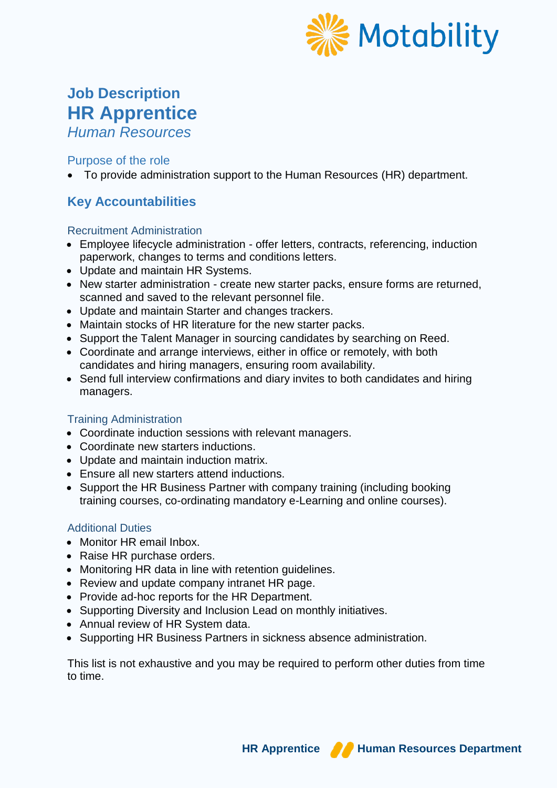

# **Job Description HR Apprentice**

*Human Resources*

# Purpose of the role

To provide administration support to the Human Resources (HR) department.

# **Key Accountabilities**

### Recruitment Administration

- Employee lifecycle administration offer letters, contracts, referencing, induction paperwork, changes to terms and conditions letters.
- Update and maintain HR Systems.
- New starter administration create new starter packs, ensure forms are returned, scanned and saved to the relevant personnel file.
- Update and maintain Starter and changes trackers.
- Maintain stocks of HR literature for the new starter packs.
- Support the Talent Manager in sourcing candidates by searching on Reed.
- Coordinate and arrange interviews, either in office or remotely, with both candidates and hiring managers, ensuring room availability.
- Send full interview confirmations and diary invites to both candidates and hiring managers.

# Training Administration

- Coordinate induction sessions with relevant managers.
- Coordinate new starters inductions.
- Update and maintain induction matrix.
- Ensure all new starters attend inductions.
- Support the HR Business Partner with company training (including booking training courses, co-ordinating mandatory e-Learning and online courses).

#### Additional Duties

- Monitor HR email Inbox.
- Raise HR purchase orders.
- Monitoring HR data in line with retention quidelines.
- Review and update company intranet HR page.
- Provide ad-hoc reports for the HR Department.
- Supporting Diversity and Inclusion Lead on monthly initiatives.
- Annual review of HR System data.
- Supporting HR Business Partners in sickness absence administration.

This list is not exhaustive and you may be required to perform other duties from time to time.